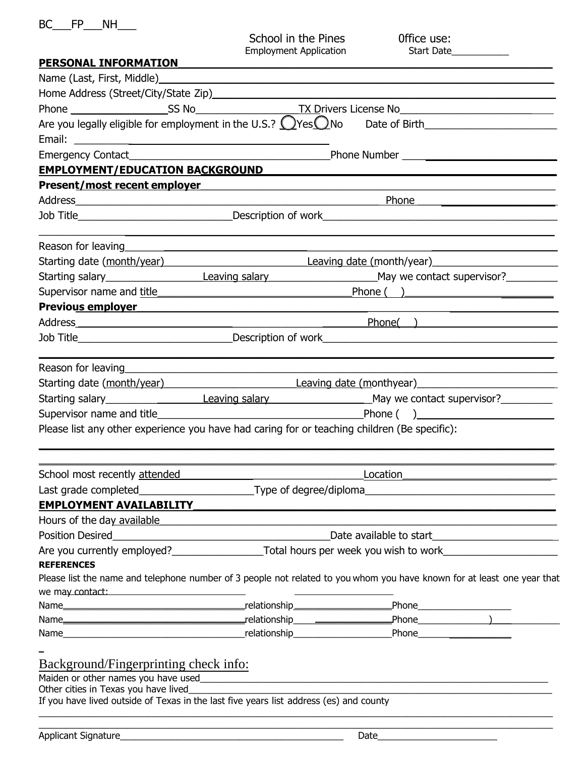| $\cdots$ | NΗ |
|----------|----|
|          |    |

School in the Pines<br>
Employment Application<br>
Start Date Employment Application

| PERSONAL INFORMATION                                                                                                                                                                                                           |                                                                                                                                                                                                                                      |                                                                                                                                                                                                                               |  |
|--------------------------------------------------------------------------------------------------------------------------------------------------------------------------------------------------------------------------------|--------------------------------------------------------------------------------------------------------------------------------------------------------------------------------------------------------------------------------------|-------------------------------------------------------------------------------------------------------------------------------------------------------------------------------------------------------------------------------|--|
|                                                                                                                                                                                                                                |                                                                                                                                                                                                                                      |                                                                                                                                                                                                                               |  |
| Home Address (Street/City/State Zip) Manual Address Control of the Address Control of the Address Control of the Address Control of the Address Control of the Address Control of the Address Control of the Address Control o |                                                                                                                                                                                                                                      |                                                                                                                                                                                                                               |  |
|                                                                                                                                                                                                                                |                                                                                                                                                                                                                                      |                                                                                                                                                                                                                               |  |
|                                                                                                                                                                                                                                |                                                                                                                                                                                                                                      |                                                                                                                                                                                                                               |  |
|                                                                                                                                                                                                                                |                                                                                                                                                                                                                                      |                                                                                                                                                                                                                               |  |
|                                                                                                                                                                                                                                |                                                                                                                                                                                                                                      |                                                                                                                                                                                                                               |  |
| <b>EMPLOYMENT/EDUCATION BACKGROUND</b>                                                                                                                                                                                         |                                                                                                                                                                                                                                      |                                                                                                                                                                                                                               |  |
| Present/most recent employer examples and the set of the set of the set of the set of the set of the set of the                                                                                                                |                                                                                                                                                                                                                                      |                                                                                                                                                                                                                               |  |
|                                                                                                                                                                                                                                | Phone <u>example and the set of the set of the set of the set of the set of the set of the set of the set of the set of the set of the set of the set of the set of the set of the set of the set of the set of the set of the s</u> |                                                                                                                                                                                                                               |  |
|                                                                                                                                                                                                                                |                                                                                                                                                                                                                                      |                                                                                                                                                                                                                               |  |
| Reason for leaving example and the set of the set of the set of the set of the set of the set of the set of the                                                                                                                |                                                                                                                                                                                                                                      |                                                                                                                                                                                                                               |  |
|                                                                                                                                                                                                                                |                                                                                                                                                                                                                                      | Starting date (month/year) example a Leaving date (month/year)                                                                                                                                                                |  |
|                                                                                                                                                                                                                                |                                                                                                                                                                                                                                      |                                                                                                                                                                                                                               |  |
|                                                                                                                                                                                                                                |                                                                                                                                                                                                                                      | Supervisor name and title entity and the same state of the Phone (and the Phone C) and the same state of the same state of the same state of the same state of the same state of the same state of the same state of the same |  |
| Previous employer example and the control of the control of the control of the control of the control of the control of the control of the control of the control of the control of the control of the control of the control  |                                                                                                                                                                                                                                      |                                                                                                                                                                                                                               |  |
|                                                                                                                                                                                                                                |                                                                                                                                                                                                                                      |                                                                                                                                                                                                                               |  |
|                                                                                                                                                                                                                                |                                                                                                                                                                                                                                      |                                                                                                                                                                                                                               |  |
|                                                                                                                                                                                                                                |                                                                                                                                                                                                                                      |                                                                                                                                                                                                                               |  |
|                                                                                                                                                                                                                                |                                                                                                                                                                                                                                      |                                                                                                                                                                                                                               |  |
|                                                                                                                                                                                                                                |                                                                                                                                                                                                                                      |                                                                                                                                                                                                                               |  |
|                                                                                                                                                                                                                                |                                                                                                                                                                                                                                      | Supervisor name and title <b>Example 2018</b> Phone (Capacity 2018) 2018 2019 12:30 Phone (Capacity 2018) 2019 2019 12:30                                                                                                     |  |
|                                                                                                                                                                                                                                |                                                                                                                                                                                                                                      | Please list any other experience you have had caring for or teaching children (Be specific):                                                                                                                                  |  |
| School most recently attended                                                                                                                                                                                                  |                                                                                                                                                                                                                                      | Location                                                                                                                                                                                                                      |  |
| Last grade completed_                                                                                                                                                                                                          | Type of degree/diploma                                                                                                                                                                                                               |                                                                                                                                                                                                                               |  |
| <b>EMPLOYMENT AVAILABILITY</b>                                                                                                                                                                                                 |                                                                                                                                                                                                                                      | <u> 1980 - Jan Sterling, Amerikaansk politiker (</u>                                                                                                                                                                          |  |
| Hours of the day available                                                                                                                                                                                                     |                                                                                                                                                                                                                                      |                                                                                                                                                                                                                               |  |
| <b>Position Desired</b>                                                                                                                                                                                                        | <u> 1980 - Johann Barbara, martxa amerikan personal (h. 1980).</u>                                                                                                                                                                   | Date available to start <u>____________________</u>                                                                                                                                                                           |  |
|                                                                                                                                                                                                                                | Are you currently employed?<br>Total hours per week you wish to work                                                                                                                                                                 |                                                                                                                                                                                                                               |  |
| <b>REFERENCES</b>                                                                                                                                                                                                              |                                                                                                                                                                                                                                      |                                                                                                                                                                                                                               |  |
|                                                                                                                                                                                                                                |                                                                                                                                                                                                                                      | Please list the name and telephone number of 3 people not related to you whom you have known for at least one year that                                                                                                       |  |
| we may contact:                                                                                                                                                                                                                | the contract of the contract of the contract of                                                                                                                                                                                      |                                                                                                                                                                                                                               |  |
|                                                                                                                                                                                                                                |                                                                                                                                                                                                                                      |                                                                                                                                                                                                                               |  |
|                                                                                                                                                                                                                                |                                                                                                                                                                                                                                      |                                                                                                                                                                                                                               |  |
|                                                                                                                                                                                                                                |                                                                                                                                                                                                                                      |                                                                                                                                                                                                                               |  |
|                                                                                                                                                                                                                                |                                                                                                                                                                                                                                      |                                                                                                                                                                                                                               |  |
| Background/Fingerprinting check info:                                                                                                                                                                                          |                                                                                                                                                                                                                                      |                                                                                                                                                                                                                               |  |
| Maiden or other names you have used<br>Other cities in Texas you have lived                                                                                                                                                    |                                                                                                                                                                                                                                      |                                                                                                                                                                                                                               |  |
| If you have lived outside of Texas in the last five years list address (es) and county                                                                                                                                         |                                                                                                                                                                                                                                      |                                                                                                                                                                                                                               |  |
|                                                                                                                                                                                                                                |                                                                                                                                                                                                                                      |                                                                                                                                                                                                                               |  |
|                                                                                                                                                                                                                                |                                                                                                                                                                                                                                      |                                                                                                                                                                                                                               |  |